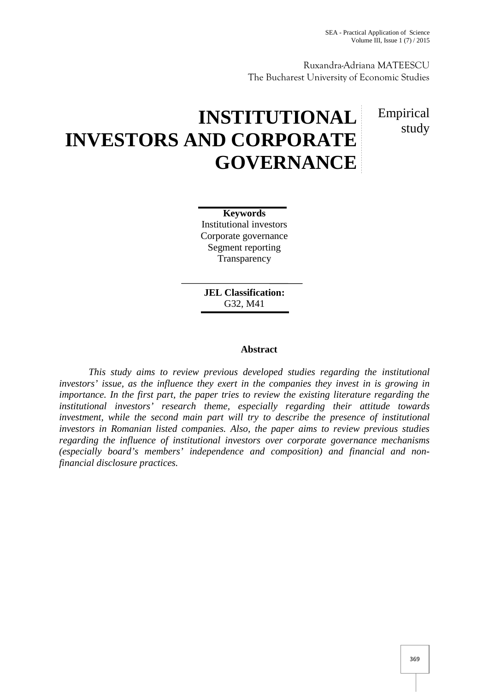Ruxandra-Adriana MATEESCU The Bucharest University of Economic Studies

# **INSTITUTIONAL INVESTORS AND CORPORATE GOVERNANCE**

Empirical study

**Keywords** Institutional investors Corporate governance Segment reporting **Transparency** 

**JEL Classification:** G32, M41

# **Abstract**

*This study aims to review previous developed studies regarding the institutional investors' issue, as the influence they exert in the companies they invest in is growing in importance. In the first part, the paper tries to review the existing literature regarding the institutional investors' research theme, especially regarding their attitude towards investment, while the second main part will try to describe the presence of institutional investors in Romanian listed companies. Also, the paper aims to review previous studies regarding the influence of institutional investors over corporate governance mechanisms (especially board's members' independence and composition) and financial and nonfinancial disclosure practices.*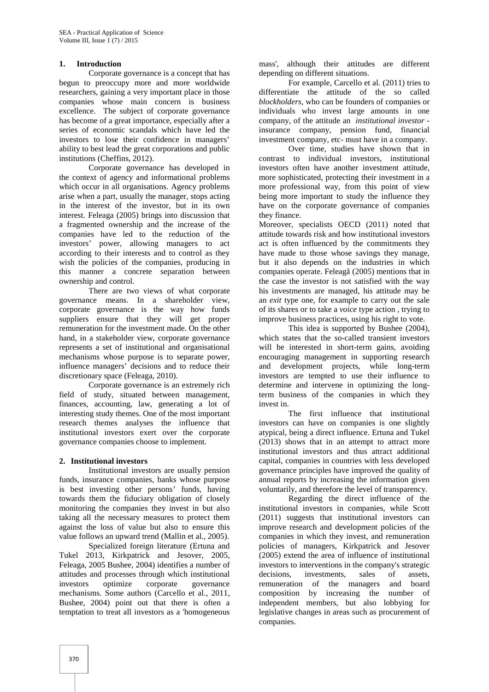### **1. Introduction**

Corporate governance is a concept that has begun to preoccupy more and more worldwide researchers, gaining a very important place in those companies whose main concern is business excellence. The subject of corporate governance has become of a great importance, especially after a series of economic scandals which have led the investors to lose their confidence in managers' ability to best lead the great corporations and public institutions (Cheffins, 2012).

Corporate governance has developed in the context of agency and informational problems which occur in all organisations. Agency problems arise when a part, usually the manager, stops acting in the interest of the investor, but in its own interest. Feleaga (2005) brings into discussion that a fragmented ownership and the increase of the companies have led to the reduction of the investors' power, allowing managers to act according to their interests and to control as they wish the policies of the companies, producing in this manner a concrete separation between ownership and control.

There are two views of what corporate governance means. In a shareholder view, corporate governance is the way how funds suppliers ensure that they will get proper remuneration for the investment made. On the other hand, in a stakeholder view, corporate governance represents a set of institutional and organisational mechanisms whose purpose is to separate power, influence managers' decisions and to reduce their discretionary space (Feleaga, 2010).

Corporate governance is an extremely rich field of study, situated between management, finances, accounting, law, generating a lot of interesting study themes. One of the most important research themes analyses the influence that institutional investors exert over the corporate governance companies choose to implement.

### **2. Institutional investors**

Institutional investors are usually pension funds, insurance companies, banks whose purpose is best investing other persons' funds, having towards them the fiduciary obligation of closely monitoring the companies they invest in but also taking all the necessary measures to protect them against the loss of value but also to ensure this value follows an upward trend (Mallin et al., 2005).

Specialized foreign literature (Ertuna and Tukel 2013, Kirkpatrick and Jesover, 2005, Feleaga, 2005 Bushee, 2004) identifies a number of attitudes and processes through which institutional investors optimize corporate governance mechanisms. Some authors (Carcello et al., 2011, Bushee, 2004) point out that there is often a temptation to treat all investors as a 'homogeneous

mass', although their attitudes are different depending on different situations.

For example, Carcello et al. (2011) tries to differentiate the attitude of the so called *blockholders,* who can be founders of companies or individuals who invest large amounts in one company, of the attitude an *institutional investor* insurance company, pension fund, financial investment company, etc- must have in a company.

Over time, studies have shown that in contrast to individual investors, institutional investors often have another investment attitude, more sophisticated, protecting their investment in a more professional way, from this point of view being more important to study the influence they have on the corporate governance of companies they finance.

Moreover, specialists OECD (2011) noted that attitude towards risk and how institutional investors act is often influenced by the commitments they have made to those whose savings they manage, but it also depends on the industries in which companies operate. Feleag (2005) mentions that in the case the investor is not satisfied with the way his investments are managed, his attitude may be an *exit* type one, for example to carry out the sale of its shares or to take a *voice* type action , trying to improve business practices, using his right to vote.

This idea is supported by Bushee (2004), which states that the so-called transient investors will be interested in short-term gains, avoiding encouraging management in supporting research and development projects, while long-term investors are tempted to use their influence to determine and intervene in optimizing the longterm business of the companies in which they invest in.

The first influence that institutional investors can have on companies is one slightly atypical, being a direct influence. Ertuna and Tukel (2013) shows that in an attempt to attract more institutional investors and thus attract additional capital, companies in countries with less developed governance principles have improved the quality of annual reports by increasing the information given voluntarily, and therefore the level of transparency.

Regarding the direct influence of the institutional investors in companies, while Scott (2011) suggests that institutional investors can improve research and development policies of the companies in which they invest, and remuneration policies of managers, Kirkpatrick and Jesover (2005) extend the area of influence of institutional investors to interventions in the company's strategic decisions, investments, sales of assets, remuneration of the managers and board composition by increasing the number of independent members, but also lobbying for legislative changes in areas such as procurement of companies.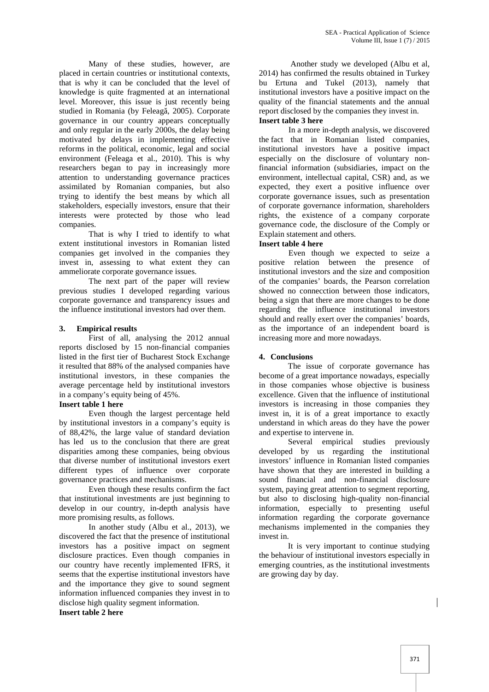Many of these studies, however, are placed in certain countries or institutional contexts, that is why it can be concluded that the level of knowledge is quite fragmented at an international level. Moreover, this issue is just recently being studied in Romania (by Feleag, 2005). Corporate governance in our country appears conceptually and only regular in the early 2000s, the delay being motivated by delays in implementing effective reforms in the political, economic, legal and social environment (Feleaga et al., 2010). This is why researchers began to pay in increasingly more attention to understanding governance practices assimilated by Romanian companies, but also trying to identify the best means by which all stakeholders, especially investors, ensure that their interests were protected by those who lead companies.

That is why I tried to identify to what extent institutional investors in Romanian listed companies get involved in the companies they invest in, assessing to what extent they can ammeliorate corporate governance issues.

The next part of the paper will review previous studies I developed regarding various corporate governance and transparency issues and the influence institutional investors had over them.

### **3. Empirical results**

First of all, analysing the 2012 annual reports disclosed by 15 non-financial companies listed in the first tier of Bucharest Stock Exchange it resulted that 88% of the analysed companies have institutional investors, in these companies the average percentage held by institutional investors in a company's equity being of 45%.

### **Insert table 1 here**

Even though the largest percentage held by institutional investors in a company's equity is of 88,42%, the large value of standard deviation has led us to the conclusion that there are great disparities among these companies, being obvious that diverse number of institutional investors exert different types of influence over corporate governance practices and mechanisms.

Even though these results confirm the fact that institutional investments are just beginning to develop in our country, in-depth analysis have more promising results, as follows.

In another study (Albu et al., 2013), we discovered the fact that the presence of institutional investors has a positive impact on segment disclosure practices. Even though companies in our country have recently implemented IFRS, it seems that the expertise institutional investors have and the importance they give to sound segment information influenced companies they invest in to disclose high quality segment information.

**Insert table 2 here**

Another study we developed (Albu et al, 2014) has confirmed the results obtained in Turkey bu Ertuna and Tukel (2013), namely that institutional investors have a positive impact on the quality of the financial statements and the annual report disclosed by the companies they invest in. **Insert table 3 here**

In a more in-depth analysis, we discovered the fact that in Romanian listed companies, institutional investors have a positive impact especially on the disclosure of voluntary nonfinancial information (subsidiaries, impact on the environment, intellectual capital, CSR) and, as we expected, they exert a positive influence over corporate governance issues, such as presentation of corporate governance information, shareholders rights, the existence of a company corporate governance code, the disclosure of the Comply or Explain statement and others.

# **Insert table 4 here**

Even though we expected to seize a positive relation between the presence of institutional investors and the size and composition of the companies' boards, the Pearson correlation showed no connecction between those indicators, being a sign that there are more changes to be done regarding the influence institutional investors should and really exert over the companies' boards, as the importance of an independent board is increasing more and more nowadays.

# **4. Conclusions**

The issue of corporate governance has become of a great importance nowadays, especially in those companies whose objective is business excellence. Given that the influence of institutional investors is increasing in those companies they invest in, it is of a great importance to exactly understand in which areas do they have the power and expertise to intervene in.

Several empirical studies previously developed by us regarding the institutional investors' influence in Romanian listed companies have shown that they are interested in building a sound financial and non-financial disclosure system, paying great attention to segment reporting, but also to disclosing high-quality non-financial information, especially to presenting useful information regarding the corporate governance mechanisms implemented in the companies they invest in.

It is very important to continue studying the behaviour of institutional investors especially in emerging countries, as the institutional investments are growing day by day.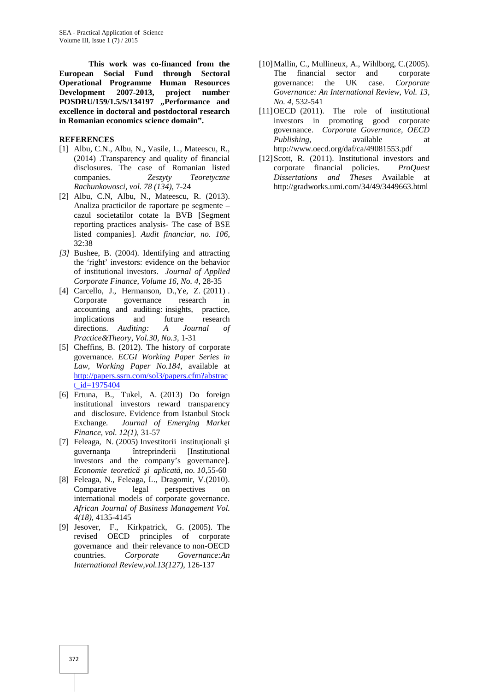**This work was co-financed from the European Social Fund through Sectoral Operational Programme Human Resources Development 2007-2013, project number POSDRU/159/1.5/S/134197 "Performance and excellence in doctoral and postdoctoral research in Romanian economics science domain".**

# **REFERENCES**

- [1] Albu, C.N., Albu, N., Vasile, L., Mateescu, R., (2014) .Transparency and quality of financial disclosures. The case of Romanian listed companies. *Zeszyty Teoretyczne Rachunkowosci, vol. 78 (134),* 7-24
- [2] Albu, C.N, Albu, N., Mateescu, R. (2013). Analiza practicilor de raportare pe segmente – cazul societatilor cotate la BVB [Segment reporting practices analysis- The case of BSE listed companies]. *Audit financiar, no. 106*, 32:38
- *[3]* Bushee, B. (2004). Identifying and attracting the 'right' investors: evidence on the behavior of institutional investors. *Journal of Applied Corporate Finance, Volume 16, No. 4,* 28-35
- [4] Carcello, J., Hermanson, D., Ye, Z. (2011). Corporate governance research in accounting and auditing: insights, practice, implications and future research<br>directions. Auditine: A Journal of directions. *Auditing: A Journal of Practice&Theory, Vol.30, No.3,* 1-31
- [5] Cheffins, B. (2012). The history of corporate governance. *ECGI Working Paper Series in Law, Working Paper No.184*, available at http://papers.ssrn.com/sol3/papers.cfm?abstrac t id=1975404
- [6] Ertuna, B., Tukel, A. (2013) Do foreign institutional investors reward transparency and disclosure. Evidence from Istanbul Stock Exchange*. Journal of Emerging Market Finance, vol. 12(1)*, 31-57
- $[7]$  Feleaga, N. (2005) Investitorii institutionali i guvernan a întreprinderii [Institutional investors and the company's governance]. *Economie teoretic i aplicat*, *no.* 10,55-60
- [8] Feleaga, N., Feleaga, L., Dragomir, V.(2010). Comparative legal perspectives on international models of corporate governance. *African Journal of Business Management Vol. 4(18),* 4135-4145
- [9] Jesover, F., Kirkpatrick, G. (2005). The revised OECD principles of corporate governance and their relevance to non-OECD countries. *Corporate Governance:An International Review,vol.13(127),* 126-137
- [10]Mallin, C., Mullineux, A., Wihlborg, C.(2005). The financial sector and corporate governance: the UK case. *Corporate Governance: An International Review, Vol. 13, No. 4,* 532-541
- [11]OECD (2011). The role of institutional investors in promoting good corporate governance. *Corporate Governance, OECD Publishing*, available at http://www.oecd.org/daf/ca/49081553.pdf
- [12] Scott, R. (2011). Institutional investors and corporate financial policies. *ProQuest Dissertations and Theses* Available at http://gradworks.umi.com/34/49/3449663.html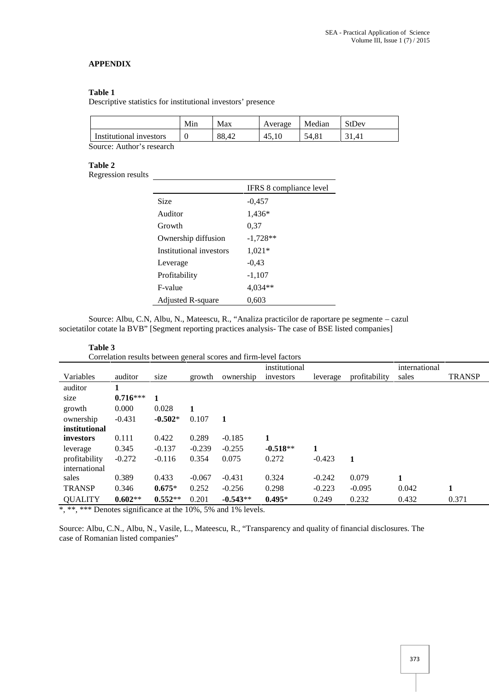# **APPENDIX**

### **Table 1**

Descriptive statistics for institutional investors' presence

|                          | Min | Max   | Average | Median | StDev |
|--------------------------|-----|-------|---------|--------|-------|
| Institutional investors  |     | 88.42 | 45.10   | 54.81  | 31.41 |
| Common Andrew's more and |     |       |         |        |       |

Source: Author's research

#### **Table 2**

Regression results

|                         | IFRS 8 compliance level |
|-------------------------|-------------------------|
| Size                    | $-0.457$                |
| Auditor                 | 1,436*                  |
| Growth                  | 0.37                    |
| Ownership diffusion     | $-1,728**$              |
| Institutional investors | $1,021*$                |
| Leverage                | $-0.43$                 |
| Profitability           | $-1,107$                |
| F-value                 | 4,034**                 |
| Adjusted R-square       | 0,603                   |

Source: Albu, C.N, Albu, N., Mateescu, R., "Analiza practicilor de raportare pe segmente – cazul societatilor cotate la BVB" [Segment reporting practices analysis- The case of BSE listed companies]

| Table 3                                                           |            |           |          |            |               |          |               |               |               |
|-------------------------------------------------------------------|------------|-----------|----------|------------|---------------|----------|---------------|---------------|---------------|
| Correlation results between general scores and firm-level factors |            |           |          |            |               |          |               |               |               |
|                                                                   |            |           |          |            | institutional |          |               | international |               |
| Variables                                                         | auditor    | size      | growth   | ownership  | investors     | leverage | profitability | sales         | <b>TRANSP</b> |
| auditor                                                           |            |           |          |            |               |          |               |               |               |
| size                                                              | $0.716***$ | 1         |          |            |               |          |               |               |               |
| growth                                                            | 0.000      | 0.028     |          |            |               |          |               |               |               |
| ownership                                                         | $-0.431$   | $-0.502*$ | 0.107    | 1          |               |          |               |               |               |
| institutional                                                     |            |           |          |            |               |          |               |               |               |
| <i>investors</i>                                                  | 0.111      | 0.422     | 0.289    | $-0.185$   | 1             |          |               |               |               |
| leverage                                                          | 0.345      | $-0.137$  | $-0.239$ | $-0.255$   | $-0.518**$    | 1        |               |               |               |
| profitability                                                     | $-0.272$   | $-0.116$  | 0.354    | 0.075      | 0.272         | $-0.423$ | 1             |               |               |
| international                                                     |            |           |          |            |               |          |               |               |               |
| sales                                                             | 0.389      | 0.433     | $-0.067$ | $-0.431$   | 0.324         | $-0.242$ | 0.079         | 1             |               |
| <b>TRANSP</b>                                                     | 0.346      | $0.675*$  | 0.252    | $-0.256$   | 0.298         | $-0.223$ | $-0.095$      | 0.042         | 1             |
| <b>QUALITY</b>                                                    | $0.602**$  | $0.552**$ | 0.201    | $-0.543**$ | $0.495*$      | 0.249    | 0.232         | 0.432         | 0.371         |

\*, \*\*, \*\*\* Denotes significance at the 10%, 5% and 1% levels.

Source: Albu, C.N., Albu, N., Vasile, L., Mateescu, R., "Transparency and quality of financial disclosures. The case of Romanian listed companies"